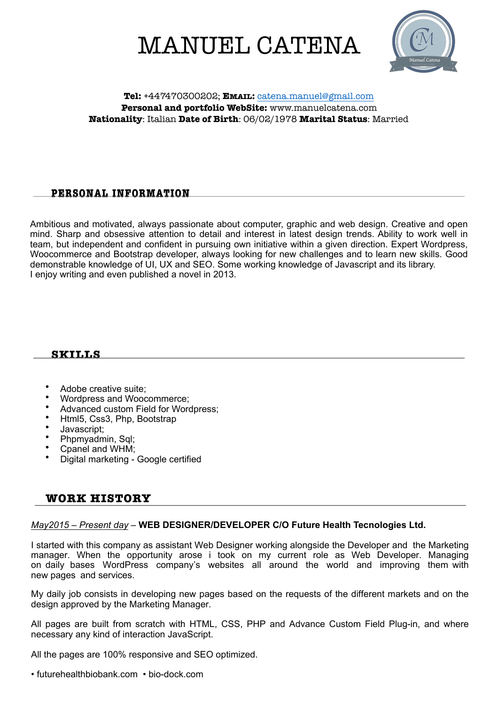# MANUEL CATENA



#### **Tel:** +447470300202; **EMAIL:** [catena.manuel@gmail.com](mailto:catena.manuel@gmail.com) **Personal and portfolio WebSite:** www.manuelcatena.com **Nationality**: Italian **Date of Birth**: 06/02/1978 **Marital Status**: Married

## **PERSONAL INFORMATION**

Ambitious and motivated, always passionate about computer, graphic and web design. Creative and open mind. Sharp and obsessive attention to detail and interest in latest design trends. Ability to work well in team, but independent and confident in pursuing own initiative within a given direction. Expert Wordpress, Woocommerce and Bootstrap developer, always looking for new challenges and to learn new skills. Good demonstrable knowledge of UI, UX and SEO. Some working knowledge of Javascript and its library. I enjoy writing and even published a novel in 2013.

## **SKILLS**

- Adobe creative suite;
- Wordpress and Woocommerce;
- Advanced custom Field for Wordpress;
- Html5, Css3, Php, Bootstrap
- Javascript;
- Phpmyadmin, Sql;
- Cpanel and WHM;
- Digital marketing Google certified

## **WORK HISTORY**

#### *May2015 – Present day* – **WEB DESIGNER/DEVELOPER C/O Future Health Tecnologies Ltd.**

I started with this company as assistant Web Designer working alongside the Developer and the Marketing manager. When the opportunity arose i took on my current role as Web Developer. Managing on daily bases WordPress company's websites all around the world and improving them with new pages and services.

My daily job consists in developing new pages based on the requests of the different markets and on the design approved by the Marketing Manager.

All pages are built from scratch with HTML, CSS, PHP and Advance Custom Field Plug-in, and where necessary any kind of interaction JavaScript.

All the pages are 100% responsive and SEO optimized.

• futurehealthbiobank.com • bio-dock.com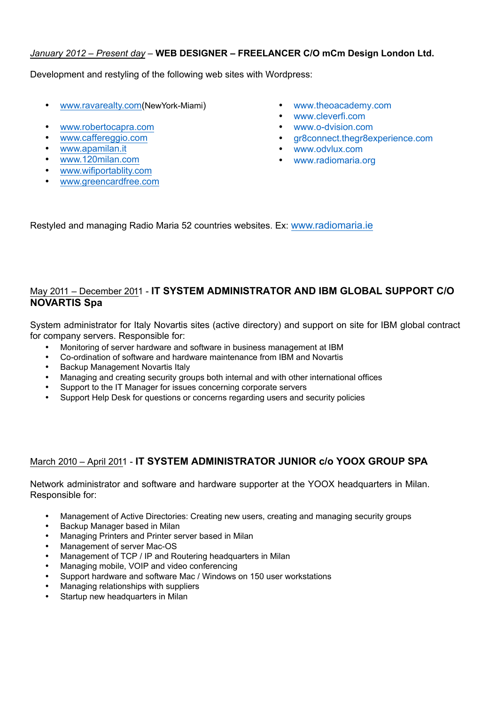## *January 2012 – Present day* – **WEB DESIGNER – FREELANCER C/O mCm Design London Ltd.**

Development and restyling of the following web sites with Wordpress:

- [www.ravarealty.com](https://www.ravarealty.com)(NewYork-Miami)
- [www.robertocapra.com](http://www.robertocapra.com)
- www.caffereggio.com
- [www.apam](https://www.apamilan.it)ilan.it
- [www.120milan.com](http://www.120milan.com)
- [www.wifiportablity.com](http://www.wifiportablity.com)
- www.greencardfree.com
- www.theoacademy.com
- www.cleverfi.com
- www.o-dvision.com
- gr8connect.thegr8experience.com
- www.odvlux.com
- www.radiomaria.org

Restyled and managing Radio Maria 52 countries websites. Ex: [www.radiomaria.ie](http://www.radiomaria.ie)

## May 2011 – December 2011 - **IT SYSTEM ADMINISTRATOR AND IBM GLOBAL SUPPORT C/O NOVARTIS Spa**

System administrator for Italy Novartis sites (active directory) and support on site for IBM global contract for company servers. Responsible for:

- Monitoring of server hardware and software in business management at IBM
- Co-ordination of software and hardware maintenance from IBM and Novartis
- Backup Management Novartis Italy
- Managing and creating security groups both internal and with other international offices
- Support to the IT Manager for issues concerning corporate servers
- Support Help Desk for questions or concerns regarding users and security policies

## March 2010 – April 2011 - **IT SYSTEM ADMINISTRATOR JUNIOR c/o YOOX GROUP SPA**

Network administrator and software and hardware supporter at the YOOX headquarters in Milan. Responsible for:

- Management of Active Directories: Creating new users, creating and managing security groups
- Backup Manager based in Milan
- Managing Printers and Printer server based in Milan
- Management of server Mac-OS
- Management of TCP / IP and Routering headquarters in Milan
- Managing mobile, VOIP and video conferencing
- Support hardware and software Mac / Windows on 150 user workstations
- Managing relationships with suppliers
- Startup new headquarters in Milan